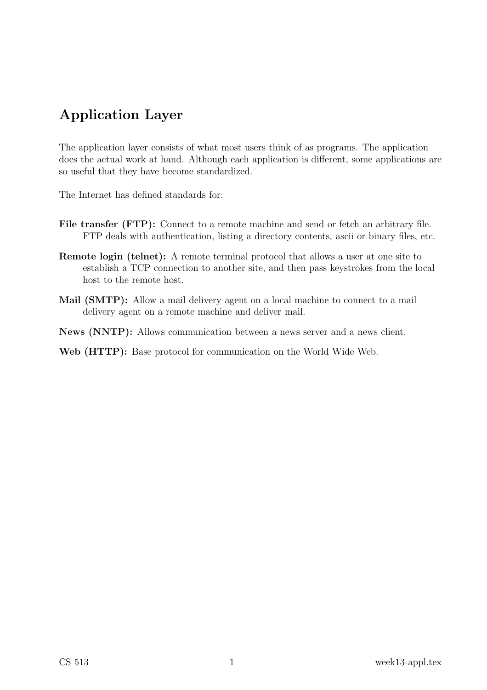# Application Layer

The application layer consists of what most users think of as programs. The application does the actual work at hand. Although each application is different, some applications are so useful that they have become standardized.

The Internet has defined standards for:

- File transfer (FTP): Connect to a remote machine and send or fetch an arbitrary file. FTP deals with authentication, listing a directory contents, ascii or binary files, etc.
- Remote login (telnet): A remote terminal protocol that allows a user at one site to establish a TCP connection to another site, and then pass keystrokes from the local host to the remote host.
- Mail (SMTP): Allow a mail delivery agent on a local machine to connect to a mail delivery agent on a remote machine and deliver mail.
- News (NNTP): Allows communication between a news server and a news client.

Web (HTTP): Base protocol for communication on the World Wide Web.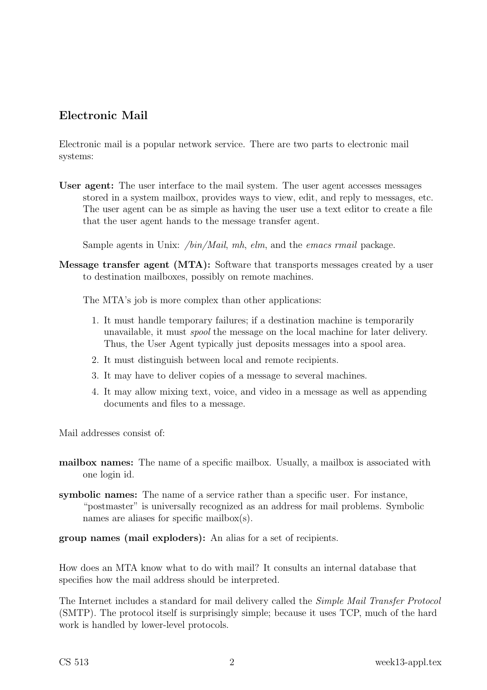## Electronic Mail

Electronic mail is a popular network service. There are two parts to electronic mail systems:

User agent: The user interface to the mail system. The user agent accesses messages stored in a system mailbox, provides ways to view, edit, and reply to messages, etc. The user agent can be as simple as having the user use a text editor to create a file that the user agent hands to the message transfer agent.

Sample agents in Unix: /bin/Mail, mh, elm, and the emacs rmail package.

Message transfer agent (MTA): Software that transports messages created by a user to destination mailboxes, possibly on remote machines.

The MTA's job is more complex than other applications:

- 1. It must handle temporary failures; if a destination machine is temporarily unavailable, it must spool the message on the local machine for later delivery. Thus, the User Agent typically just deposits messages into a spool area.
- 2. It must distinguish between local and remote recipients.
- 3. It may have to deliver copies of a message to several machines.
- 4. It may allow mixing text, voice, and video in a message as well as appending documents and files to a message.

Mail addresses consist of:

- mailbox names: The name of a specific mailbox. Usually, a mailbox is associated with one login id.
- symbolic names: The name of a service rather than a specific user. For instance, "postmaster" is universally recognized as an address for mail problems. Symbolic names are aliases for specific mailbox(s).

group names (mail exploders): An alias for a set of recipients.

How does an MTA know what to do with mail? It consults an internal database that specifies how the mail address should be interpreted.

The Internet includes a standard for mail delivery called the Simple Mail Transfer Protocol (SMTP). The protocol itself is surprisingly simple; because it uses TCP, much of the hard work is handled by lower-level protocols.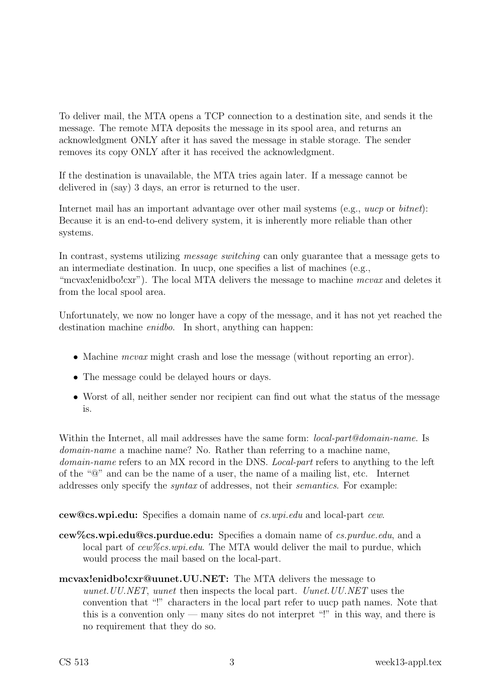To deliver mail, the MTA opens a TCP connection to a destination site, and sends it the message. The remote MTA deposits the message in its spool area, and returns an acknowledgment ONLY after it has saved the message in stable storage. The sender removes its copy ONLY after it has received the acknowledgment.

If the destination is unavailable, the MTA tries again later. If a message cannot be delivered in (say) 3 days, an error is returned to the user.

Internet mail has an important advantage over other mail systems (e.g., *uucp* or *bitnet*): Because it is an end-to-end delivery system, it is inherently more reliable than other systems.

In contrast, systems utilizing *message switching* can only guarantee that a message gets to an intermediate destination. In uucp, one specifies a list of machines (e.g., "mcvax!enidbo!cxr"). The local MTA delivers the message to machine *mcvax* and deletes it from the local spool area.

Unfortunately, we now no longer have a copy of the message, and it has not yet reached the destination machine enidbo. In short, anything can happen:

- Machine *mcvax* might crash and lose the message (without reporting an error).
- The message could be delayed hours or days.
- Worst of all, neither sender nor recipient can find out what the status of the message is.

Within the Internet, all mail addresses have the same form: *local-part@domain-name*. Is domain-name a machine name? No. Rather than referring to a machine name, domain-name refers to an MX record in the DNS. *Local-part* refers to anything to the left of the "@" and can be the name of a user, the name of a mailing list, etc. Internet addresses only specify the syntax of addresses, not their semantics. For example:

cew@cs.wpi.edu: Specifies a domain name of cs.wpi.edu and local-part cew.

- cew%cs.wpi.edu@cs.purdue.edu: Specifies a domain name of cs.purdue.edu, and a local part of cew %cs.wpi.edu. The MTA would deliver the mail to purdue, which would process the mail based on the local-part.
- mcvax!enidbo!cxr@uunet.UU.NET: The MTA delivers the message to uunet.UU.NET, uunet then inspects the local part. Uunet.UU.NET uses the convention that "!" characters in the local part refer to uucp path names. Note that this is a convention only — many sites do not interpret "!" in this way, and there is no requirement that they do so.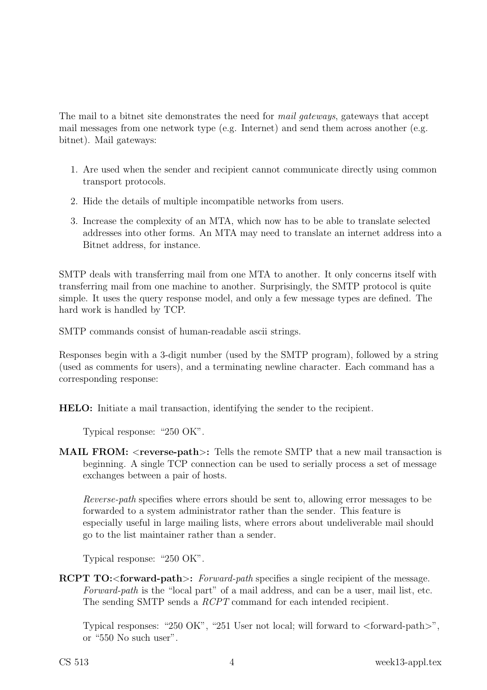The mail to a bitnet site demonstrates the need for *mail gateways*, gateways that accept mail messages from one network type (e.g. Internet) and send them across another (e.g. bitnet). Mail gateways:

- 1. Are used when the sender and recipient cannot communicate directly using common transport protocols.
- 2. Hide the details of multiple incompatible networks from users.
- 3. Increase the complexity of an MTA, which now has to be able to translate selected addresses into other forms. An MTA may need to translate an internet address into a Bitnet address, for instance.

SMTP deals with transferring mail from one MTA to another. It only concerns itself with transferring mail from one machine to another. Surprisingly, the SMTP protocol is quite simple. It uses the query response model, and only a few message types are defined. The hard work is handled by TCP.

SMTP commands consist of human-readable ascii strings.

Responses begin with a 3-digit number (used by the SMTP program), followed by a string (used as comments for users), and a terminating newline character. Each command has a corresponding response:

HELO: Initiate a mail transaction, identifying the sender to the recipient.

Typical response: "250 OK".

MAIL FROM: <reverse-path>: Tells the remote SMTP that a new mail transaction is beginning. A single TCP connection can be used to serially process a set of message exchanges between a pair of hosts.

Reverse-path specifies where errors should be sent to, allowing error messages to be forwarded to a system administrator rather than the sender. This feature is especially useful in large mailing lists, where errors about undeliverable mail should go to the list maintainer rather than a sender.

Typical response: "250 OK".

RCPT TO: < forward-path >: Forward-path specifies a single recipient of the message. Forward-path is the "local part" of a mail address, and can be a user, mail list, etc. The sending SMTP sends a  $RCPT$  command for each intended recipient.

Typical responses: "250 OK", "251 User not local; will forward to <forward-path>", or "550 No such user".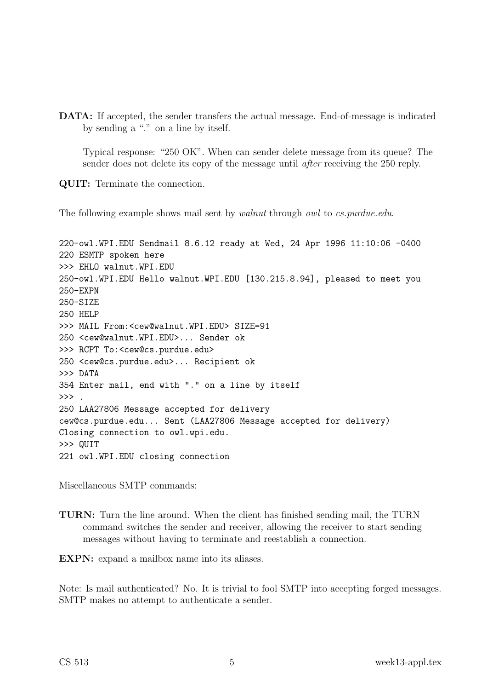DATA: If accepted, the sender transfers the actual message. End-of-message is indicated by sending a "." on a line by itself.

Typical response: "250 OK". When can sender delete message from its queue? The sender does not delete its copy of the message until after receiving the 250 reply.

QUIT: Terminate the connection.

The following example shows mail sent by *walnut* through *owl* to *cs.purdue.edu.* 

220-owl.WPI.EDU Sendmail 8.6.12 ready at Wed, 24 Apr 1996 11:10:06 -0400 220 ESMTP spoken here >>> EHLO walnut.WPI.EDU 250-owl.WPI.EDU Hello walnut.WPI.EDU [130.215.8.94], pleased to meet you 250-EXPN 250-SIZE 250 HELP >>> MAIL From:<cew@walnut.WPI.EDU> SIZE=91 250 <cew@walnut.WPI.EDU>... Sender ok >>> RCPT To:<cew@cs.purdue.edu> 250 <cew@cs.purdue.edu>... Recipient ok >>> DATA 354 Enter mail, end with "." on a line by itself  $\gg$  . 250 LAA27806 Message accepted for delivery cew@cs.purdue.edu... Sent (LAA27806 Message accepted for delivery) Closing connection to owl.wpi.edu. >>> QUIT 221 owl.WPI.EDU closing connection

Miscellaneous SMTP commands:

TURN: Turn the line around. When the client has finished sending mail, the TURN command switches the sender and receiver, allowing the receiver to start sending messages without having to terminate and reestablish a connection.

EXPN: expand a mailbox name into its aliases.

Note: Is mail authenticated? No. It is trivial to fool SMTP into accepting forged messages. SMTP makes no attempt to authenticate a sender.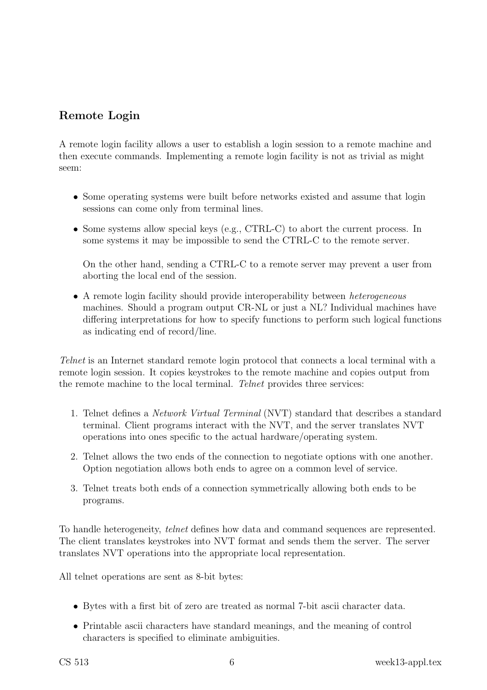# Remote Login

A remote login facility allows a user to establish a login session to a remote machine and then execute commands. Implementing a remote login facility is not as trivial as might seem:

- Some operating systems were built before networks existed and assume that login sessions can come only from terminal lines.
- Some systems allow special keys (e.g., CTRL-C) to abort the current process. In some systems it may be impossible to send the CTRL-C to the remote server.

On the other hand, sending a CTRL-C to a remote server may prevent a user from aborting the local end of the session.

• A remote login facility should provide interoperability between *heterogeneous* machines. Should a program output CR-NL or just a NL? Individual machines have differing interpretations for how to specify functions to perform such logical functions as indicating end of record/line.

Telnet is an Internet standard remote login protocol that connects a local terminal with a remote login session. It copies keystrokes to the remote machine and copies output from the remote machine to the local terminal. Telnet provides three services:

- 1. Telnet defines a Network Virtual Terminal (NVT) standard that describes a standard terminal. Client programs interact with the NVT, and the server translates NVT operations into ones specific to the actual hardware/operating system.
- 2. Telnet allows the two ends of the connection to negotiate options with one another. Option negotiation allows both ends to agree on a common level of service.
- 3. Telnet treats both ends of a connection symmetrically allowing both ends to be programs.

To handle heterogeneity, telnet defines how data and command sequences are represented. The client translates keystrokes into NVT format and sends them the server. The server translates NVT operations into the appropriate local representation.

All telnet operations are sent as 8-bit bytes:

- Bytes with a first bit of zero are treated as normal 7-bit ascii character data.
- Printable ascii characters have standard meanings, and the meaning of control characters is specified to eliminate ambiguities.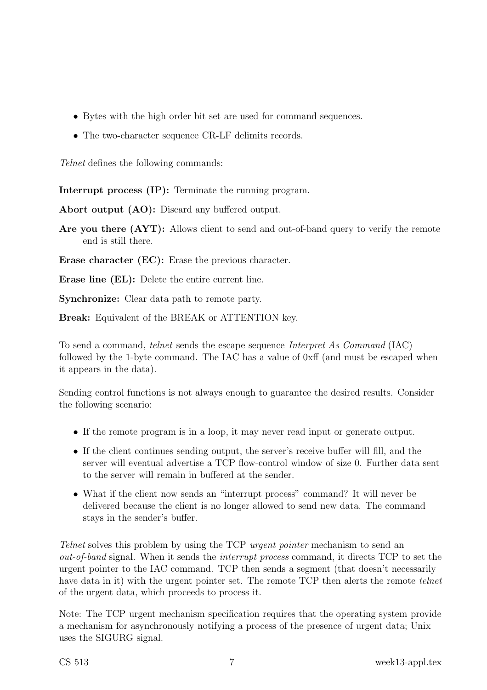- Bytes with the high order bit set are used for command sequences.
- The two-character sequence CR-LF delimits records.

Telnet defines the following commands:

Interrupt process (IP): Terminate the running program.

Abort output (AO): Discard any buffered output.

Are you there  $(AYT)$ : Allows client to send and out-of-band query to verify the remote end is still there.

Erase character (EC): Erase the previous character.

Erase line (EL): Delete the entire current line.

Synchronize: Clear data path to remote party.

Break: Equivalent of the BREAK or ATTENTION key.

To send a command, telnet sends the escape sequence Interpret As Command (IAC) followed by the 1-byte command. The IAC has a value of 0xff (and must be escaped when it appears in the data).

Sending control functions is not always enough to guarantee the desired results. Consider the following scenario:

- If the remote program is in a loop, it may never read input or generate output.
- If the client continues sending output, the server's receive buffer will fill, and the server will eventual advertise a TCP flow-control window of size 0. Further data sent to the server will remain in buffered at the sender.
- What if the client now sends an "interrupt process" command? It will never be delivered because the client is no longer allowed to send new data. The command stays in the sender's buffer.

Telnet solves this problem by using the TCP *urgent pointer* mechanism to send an out-of-band signal. When it sends the interrupt process command, it directs TCP to set the urgent pointer to the IAC command. TCP then sends a segment (that doesn't necessarily have data in it) with the urgent pointer set. The remote TCP then alerts the remote telnet of the urgent data, which proceeds to process it.

Note: The TCP urgent mechanism specification requires that the operating system provide a mechanism for asynchronously notifying a process of the presence of urgent data; Unix uses the SIGURG signal.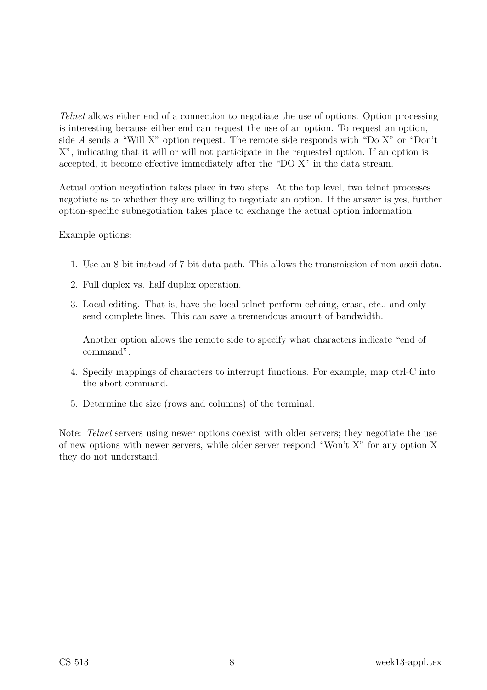Telnet allows either end of a connection to negotiate the use of options. Option processing is interesting because either end can request the use of an option. To request an option, side A sends a "Will X" option request. The remote side responds with "Do X" or "Don't X", indicating that it will or will not participate in the requested option. If an option is accepted, it become effective immediately after the "DO X" in the data stream.

Actual option negotiation takes place in two steps. At the top level, two telnet processes negotiate as to whether they are willing to negotiate an option. If the answer is yes, further option-specific subnegotiation takes place to exchange the actual option information.

#### Example options:

- 1. Use an 8-bit instead of 7-bit data path. This allows the transmission of non-ascii data.
- 2. Full duplex vs. half duplex operation.
- 3. Local editing. That is, have the local telnet perform echoing, erase, etc., and only send complete lines. This can save a tremendous amount of bandwidth.

Another option allows the remote side to specify what characters indicate "end of command".

- 4. Specify mappings of characters to interrupt functions. For example, map ctrl-C into the abort command.
- 5. Determine the size (rows and columns) of the terminal.

Note: Telnet servers using newer options coexist with older servers; they negotiate the use of new options with newer servers, while older server respond "Won't X" for any option X they do not understand.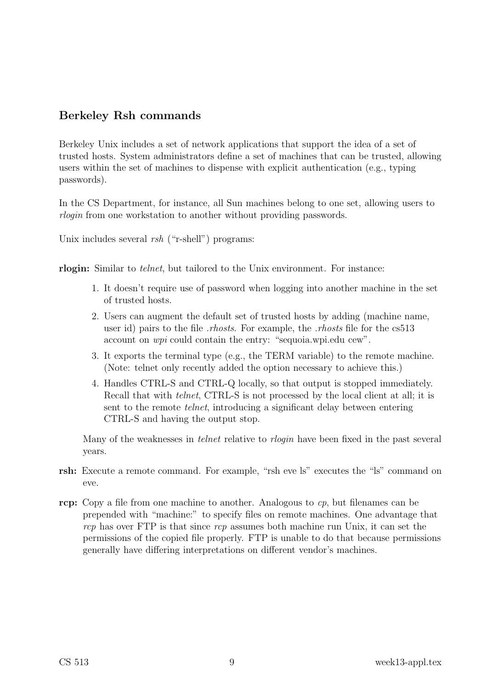# Berkeley Rsh commands

Berkeley Unix includes a set of network applications that support the idea of a set of trusted hosts. System administrators define a set of machines that can be trusted, allowing users within the set of machines to dispense with explicit authentication (e.g., typing passwords).

In the CS Department, for instance, all Sun machines belong to one set, allowing users to rlogin from one workstation to another without providing passwords.

Unix includes several *rsh* ("r-shell") programs:

rlogin: Similar to telnet, but tailored to the Unix environment. For instance:

- 1. It doesn't require use of password when logging into another machine in the set of trusted hosts.
- 2. Users can augment the default set of trusted hosts by adding (machine name, user id) pairs to the file *rhosts*. For example, the *rhosts* file for the cs513 account on wpi could contain the entry: "sequoia.wpi.edu cew".
- 3. It exports the terminal type (e.g., the TERM variable) to the remote machine. (Note: telnet only recently added the option necessary to achieve this.)
- 4. Handles CTRL-S and CTRL-Q locally, so that output is stopped immediately. Recall that with *telnet*, CTRL-S is not processed by the local client at all; it is sent to the remote telnet, introducing a significant delay between entering CTRL-S and having the output stop.

Many of the weaknesses in *telnet* relative to *rlogin* have been fixed in the past several years.

- rsh: Execute a remote command. For example, "rsh eve ls" executes the "ls" command on eve.
- rcp: Copy a file from one machine to another. Analogous to  $cp$ , but filenames can be prepended with "machine:" to specify files on remote machines. One advantage that  $rcp$  has over FTP is that since  $rcp$  assumes both machine run Unix, it can set the permissions of the copied file properly. FTP is unable to do that because permissions generally have differing interpretations on different vendor's machines.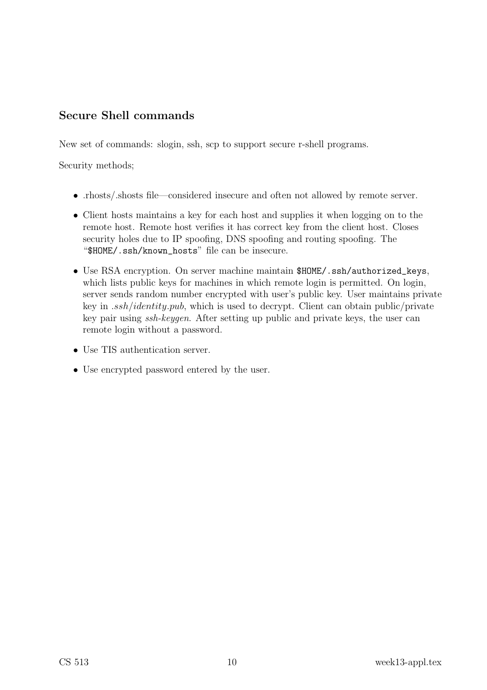# Secure Shell commands

New set of commands: slogin, ssh, scp to support secure r-shell programs.

Security methods;

- .rhosts/.shosts file—considered insecure and often not allowed by remote server.
- Client hosts maintains a key for each host and supplies it when logging on to the remote host. Remote host verifies it has correct key from the client host. Closes security holes due to IP spoofing, DNS spoofing and routing spoofing. The "\$HOME/.ssh/known\_hosts" file can be insecure.
- Use RSA encryption. On server machine maintain \$HOME/.ssh/authorized\_keys, which lists public keys for machines in which remote login is permitted. On login, server sends random number encrypted with user's public key. User maintains private key in .ssh/identity.pub, which is used to decrypt. Client can obtain public/private key pair using ssh-keygen. After setting up public and private keys, the user can remote login without a password.
- Use TIS authentication server.
- Use encrypted password entered by the user.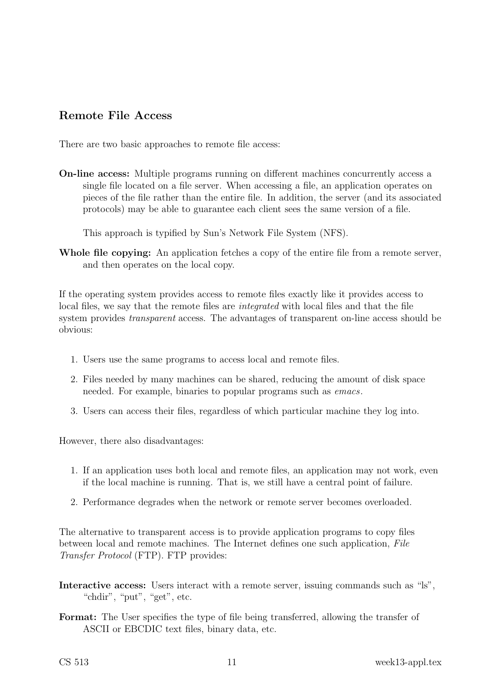#### Remote File Access

There are two basic approaches to remote file access:

On-line access: Multiple programs running on different machines concurrently access a single file located on a file server. When accessing a file, an application operates on pieces of the file rather than the entire file. In addition, the server (and its associated protocols) may be able to guarantee each client sees the same version of a file.

This approach is typified by Sun's Network File System (NFS).

Whole file copying: An application fetches a copy of the entire file from a remote server, and then operates on the local copy.

If the operating system provides access to remote files exactly like it provides access to local files, we say that the remote files are integrated with local files and that the file system provides transparent access. The advantages of transparent on-line access should be obvious:

- 1. Users use the same programs to access local and remote files.
- 2. Files needed by many machines can be shared, reducing the amount of disk space needed. For example, binaries to popular programs such as emacs.
- 3. Users can access their files, regardless of which particular machine they log into.

However, there also disadvantages:

- 1. If an application uses both local and remote files, an application may not work, even if the local machine is running. That is, we still have a central point of failure.
- 2. Performance degrades when the network or remote server becomes overloaded.

The alternative to transparent access is to provide application programs to copy files between local and remote machines. The Internet defines one such application, File Transfer Protocol (FTP). FTP provides:

- Interactive access: Users interact with a remote server, issuing commands such as "ls", "chdir", "put", "get", etc.
- Format: The User specifies the type of file being transferred, allowing the transfer of ASCII or EBCDIC text files, binary data, etc.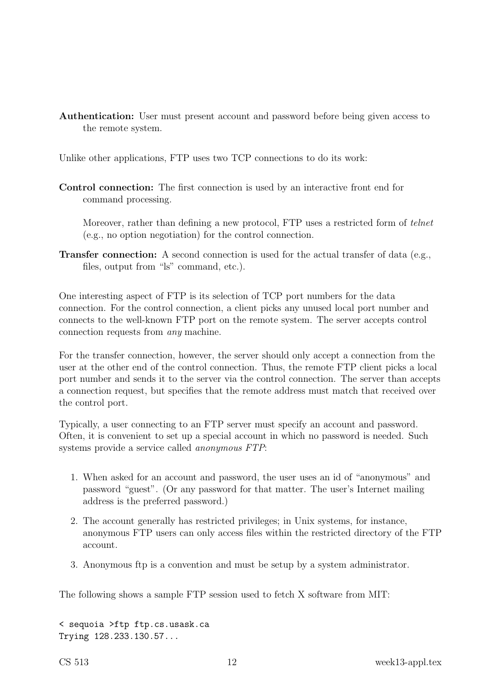Authentication: User must present account and password before being given access to the remote system.

Unlike other applications, FTP uses two TCP connections to do its work:

Control connection: The first connection is used by an interactive front end for command processing.

Moreover, rather than defining a new protocol, FTP uses a restricted form of *telnet* (e.g., no option negotiation) for the control connection.

Transfer connection: A second connection is used for the actual transfer of data (e.g., files, output from "ls" command, etc.).

One interesting aspect of FTP is its selection of TCP port numbers for the data connection. For the control connection, a client picks any unused local port number and connects to the well-known FTP port on the remote system. The server accepts control connection requests from any machine.

For the transfer connection, however, the server should only accept a connection from the user at the other end of the control connection. Thus, the remote FTP client picks a local port number and sends it to the server via the control connection. The server than accepts a connection request, but specifies that the remote address must match that received over the control port.

Typically, a user connecting to an FTP server must specify an account and password. Often, it is convenient to set up a special account in which no password is needed. Such systems provide a service called anonymous FTP:

- 1. When asked for an account and password, the user uses an id of "anonymous" and password "guest". (Or any password for that matter. The user's Internet mailing address is the preferred password.)
- 2. The account generally has restricted privileges; in Unix systems, for instance, anonymous FTP users can only access files within the restricted directory of the FTP account.
- 3. Anonymous ftp is a convention and must be setup by a system administrator.

The following shows a sample FTP session used to fetch X software from MIT:

< sequoia >ftp ftp.cs.usask.ca Trying 128.233.130.57...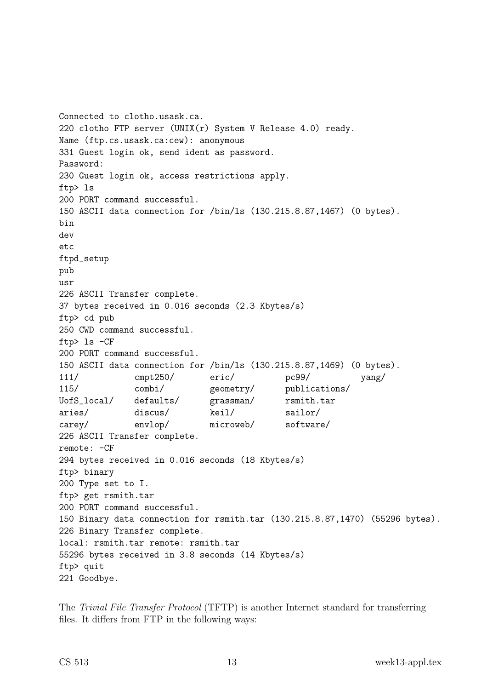```
Connected to clotho.usask.ca.
220 clotho FTP server (UNIX(r) System V Release 4.0) ready.
Name (ftp.cs.usask.ca:cew): anonymous
331 Guest login ok, send ident as password.
Password:
230 Guest login ok, access restrictions apply.
ftp> ls
200 PORT command successful.
150 ASCII data connection for /bin/ls (130.215.8.87,1467) (0 bytes).
bin
dev
etc
ftpd_setup
pub
usr
226 ASCII Transfer complete.
37 bytes received in 0.016 seconds (2.3 Kbytes/s)
ftp> cd pub
250 CWD command successful.
ftp> ls -CF
200 PORT command successful.
150 ASCII data connection for /bin/ls (130.215.8.87,1469) (0 bytes).
111/ cmpt250/ eric/ pc99/ yang/
115/ combi/ geometry/ publications/
UofS_local/ defaults/ grassman/ rsmith.tar
aries/ discus/ keil/ sailor/
carey/ envlop/ microweb/ software/
226 ASCII Transfer complete.
remote: -CF
294 bytes received in 0.016 seconds (18 Kbytes/s)
ftp> binary
200 Type set to I.
ftp> get rsmith.tar
200 PORT command successful.
150 Binary data connection for rsmith.tar (130.215.8.87,1470) (55296 bytes).
226 Binary Transfer complete.
local: rsmith.tar remote: rsmith.tar
55296 bytes received in 3.8 seconds (14 Kbytes/s)
ftp> quit
221 Goodbye.
```
The Trivial File Transfer Protocol (TFTP) is another Internet standard for transferring files. It differs from FTP in the following ways: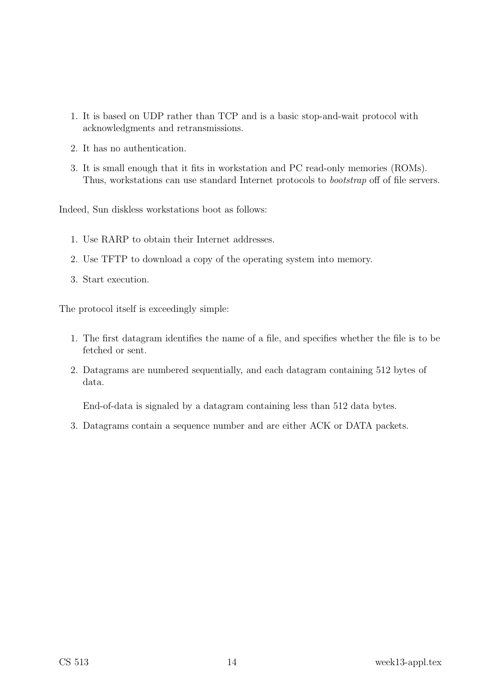- 1. It is based on UDP rather than TCP and is a basic stop-and-wait protocol with acknowledgments and retransmissions.
- 2. It has no authentication.
- 3. It is small enough that it fits in workstation and PC read-only memories (ROMs). Thus, workstations can use standard Internet protocols to bootstrap off of file servers.

Indeed, Sun diskless workstations boot as follows:

- 1. Use RARP to obtain their Internet addresses.
- 2. Use TFTP to download a copy of the operating system into memory.
- 3. Start execution.

The protocol itself is exceedingly simple:

- 1. The first datagram identifies the name of a file, and specifies whether the file is to be fetched or sent.
- 2. Datagrams are numbered sequentially, and each datagram containing 512 bytes of data.

End-of-data is signaled by a datagram containing less than 512 data bytes.

3. Datagrams contain a sequence number and are either ACK or DATA packets.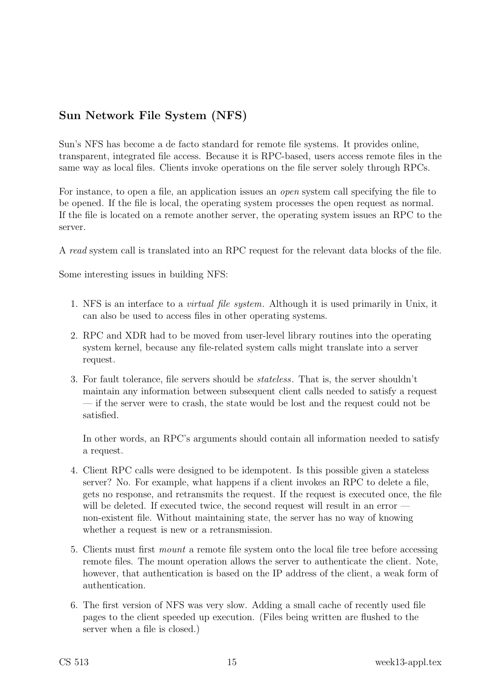# Sun Network File System (NFS)

Sun's NFS has become a de facto standard for remote file systems. It provides online, transparent, integrated file access. Because it is RPC-based, users access remote files in the same way as local files. Clients invoke operations on the file server solely through RPCs.

For instance, to open a file, an application issues an *open* system call specifying the file to be opened. If the file is local, the operating system processes the open request as normal. If the file is located on a remote another server, the operating system issues an RPC to the server.

A read system call is translated into an RPC request for the relevant data blocks of the file.

Some interesting issues in building NFS:

- 1. NFS is an interface to a virtual file system. Although it is used primarily in Unix, it can also be used to access files in other operating systems.
- 2. RPC and XDR had to be moved from user-level library routines into the operating system kernel, because any file-related system calls might translate into a server request.
- 3. For fault tolerance, file servers should be stateless. That is, the server shouldn't maintain any information between subsequent client calls needed to satisfy a request — if the server were to crash, the state would be lost and the request could not be satisfied.

In other words, an RPC's arguments should contain all information needed to satisfy a request.

- 4. Client RPC calls were designed to be idempotent. Is this possible given a stateless server? No. For example, what happens if a client invokes an RPC to delete a file, gets no response, and retransmits the request. If the request is executed once, the file will be deleted. If executed twice, the second request will result in an error non-existent file. Without maintaining state, the server has no way of knowing whether a request is new or a retransmission.
- 5. Clients must first mount a remote file system onto the local file tree before accessing remote files. The mount operation allows the server to authenticate the client. Note, however, that authentication is based on the IP address of the client, a weak form of authentication.
- 6. The first version of NFS was very slow. Adding a small cache of recently used file pages to the client speeded up execution. (Files being written are flushed to the server when a file is closed.)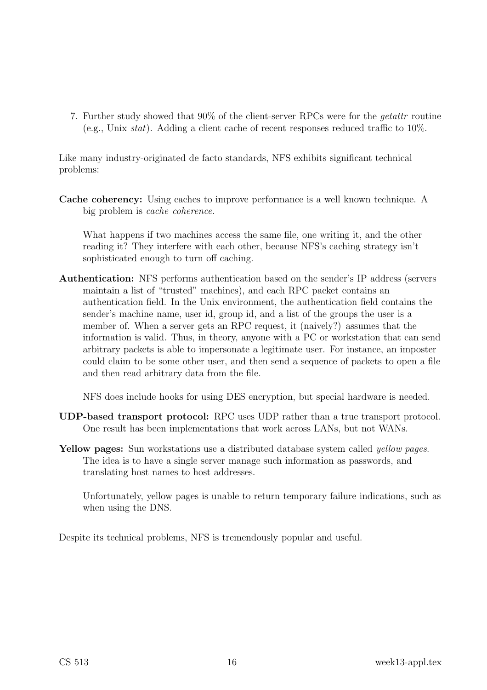7. Further study showed that 90% of the client-server RPCs were for the getattr routine (e.g., Unix  $stat$ ). Adding a client cache of recent responses reduced traffic to  $10\%$ .

Like many industry-originated de facto standards, NFS exhibits significant technical problems:

Cache coherency: Using caches to improve performance is a well known technique. A big problem is cache coherence.

What happens if two machines access the same file, one writing it, and the other reading it? They interfere with each other, because NFS's caching strategy isn't sophisticated enough to turn off caching.

Authentication: NFS performs authentication based on the sender's IP address (servers maintain a list of "trusted" machines), and each RPC packet contains an authentication field. In the Unix environment, the authentication field contains the sender's machine name, user id, group id, and a list of the groups the user is a member of. When a server gets an RPC request, it (naively?) assumes that the information is valid. Thus, in theory, anyone with a PC or workstation that can send arbitrary packets is able to impersonate a legitimate user. For instance, an imposter could claim to be some other user, and then send a sequence of packets to open a file and then read arbitrary data from the file.

NFS does include hooks for using DES encryption, but special hardware is needed.

- UDP-based transport protocol: RPC uses UDP rather than a true transport protocol. One result has been implementations that work across LANs, but not WANs.
- Yellow pages: Sun workstations use a distributed database system called *yellow pages*. The idea is to have a single server manage such information as passwords, and translating host names to host addresses.

Unfortunately, yellow pages is unable to return temporary failure indications, such as when using the DNS.

Despite its technical problems, NFS is tremendously popular and useful.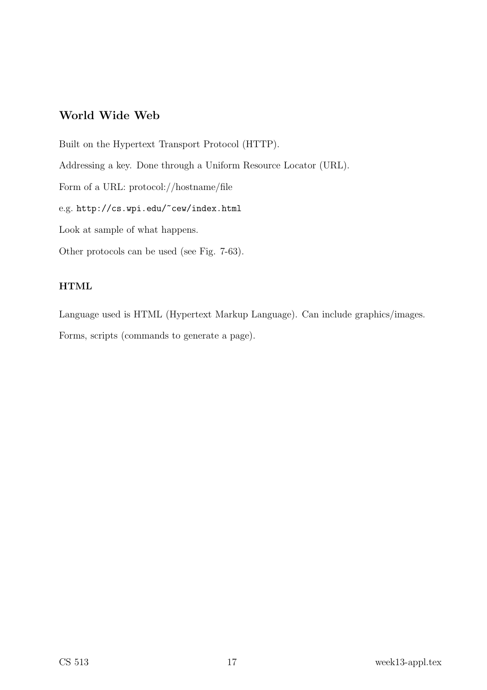#### World Wide Web

Built on the Hypertext Transport Protocol (HTTP). Addressing a key. Done through a Uniform Resource Locator (URL). Form of a URL: protocol://hostname/file e.g. http://cs.wpi.edu/~cew/index.html Look at sample of what happens. Other protocols can be used (see Fig. 7-63).

#### HTML

Language used is HTML (Hypertext Markup Language). Can include graphics/images. Forms, scripts (commands to generate a page).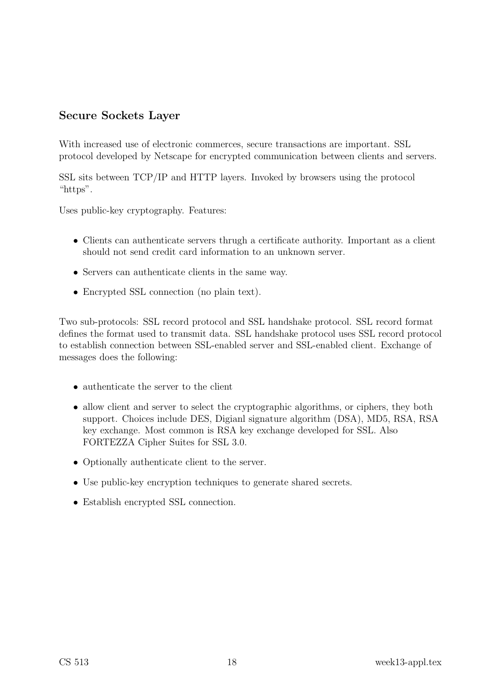## Secure Sockets Layer

With increased use of electronic commerces, secure transactions are important. SSL protocol developed by Netscape for encrypted communication between clients and servers.

SSL sits between TCP/IP and HTTP layers. Invoked by browsers using the protocol "https".

Uses public-key cryptography. Features:

- Clients can authenticate servers thrugh a certificate authority. Important as a client should not send credit card information to an unknown server.
- Servers can authenticate clients in the same way.
- Encrypted SSL connection (no plain text).

Two sub-protocols: SSL record protocol and SSL handshake protocol. SSL record format defines the format used to transmit data. SSL handshake protocol uses SSL record protocol to establish connection between SSL-enabled server and SSL-enabled client. Exchange of messages does the following:

- authenticate the server to the client
- allow client and server to select the cryptographic algorithms, or ciphers, they both support. Choices include DES, Digianl signature algorithm (DSA), MD5, RSA, RSA key exchange. Most common is RSA key exchange developed for SSL. Also FORTEZZA Cipher Suites for SSL 3.0.
- Optionally authenticate client to the server.
- Use public-key encryption techniques to generate shared secrets.
- Establish encrypted SSL connection.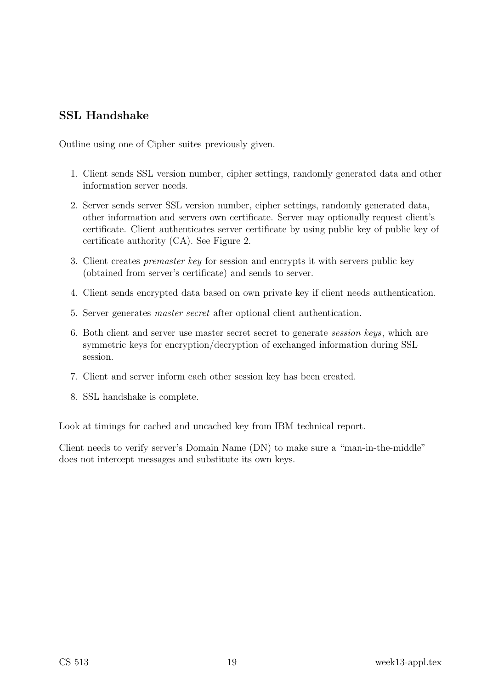## SSL Handshake

Outline using one of Cipher suites previously given.

- 1. Client sends SSL version number, cipher settings, randomly generated data and other information server needs.
- 2. Server sends server SSL version number, cipher settings, randomly generated data, other information and servers own certificate. Server may optionally request client's certificate. Client authenticates server certificate by using public key of public key of certificate authority (CA). See Figure 2.
- 3. Client creates premaster key for session and encrypts it with servers public key (obtained from server's certificate) and sends to server.
- 4. Client sends encrypted data based on own private key if client needs authentication.
- 5. Server generates master secret after optional client authentication.
- 6. Both client and server use master secret secret to generate session keys, which are symmetric keys for encryption/decryption of exchanged information during SSL session.
- 7. Client and server inform each other session key has been created.
- 8. SSL handshake is complete.

Look at timings for cached and uncached key from IBM technical report.

Client needs to verify server's Domain Name (DN) to make sure a "man-in-the-middle" does not intercept messages and substitute its own keys.